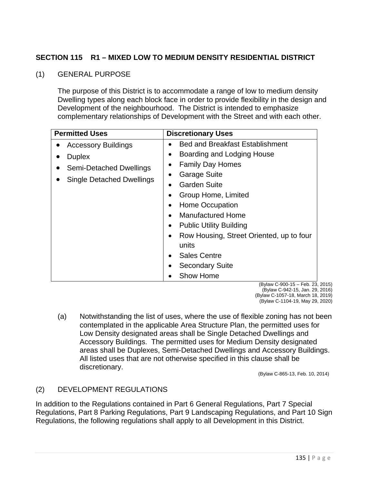## **SECTION 115 R1 – MIXED LOW TO MEDIUM DENSITY RESIDENTIAL DISTRICT**

## (1) GENERAL PURPOSE

The purpose of this District is to accommodate a range of low to medium density Dwelling types along each block face in order to provide flexibility in the design and Development of the neighbourhood. The District is intended to emphasize complementary relationships of Development with the Street and with each other.

| <b>Permitted Uses</b>            | <b>Discretionary Uses</b>                             |  |
|----------------------------------|-------------------------------------------------------|--|
| <b>Accessory Buildings</b>       | <b>Bed and Breakfast Establishment</b>                |  |
| <b>Duplex</b>                    | Boarding and Lodging House                            |  |
| Semi-Detached Dwellings          | <b>Family Day Homes</b>                               |  |
| <b>Single Detached Dwellings</b> | <b>Garage Suite</b>                                   |  |
|                                  | <b>Garden Suite</b>                                   |  |
|                                  | Group Home, Limited                                   |  |
|                                  | Home Occupation<br>٠                                  |  |
|                                  | <b>Manufactured Home</b><br>$\bullet$                 |  |
|                                  | <b>Public Utility Building</b><br>$\bullet$           |  |
|                                  | Row Housing, Street Oriented, up to four<br>$\bullet$ |  |
|                                  | units                                                 |  |
|                                  | <b>Sales Centre</b><br>$\bullet$                      |  |
|                                  | <b>Secondary Suite</b>                                |  |
|                                  | Show Home                                             |  |

(Bylaw C-900-15 – Feb. 23, 2015) (Bylaw C-942-15, Jan. 29, 2016) (Bylaw C-1057-18, March 18, 2019) (Bylaw C-1104-19, May 29, 2020)

(a) Notwithstanding the list of uses, where the use of flexible zoning has not been contemplated in the applicable Area Structure Plan, the permitted uses for Low Density designated areas shall be Single Detached Dwellings and Accessory Buildings. The permitted uses for Medium Density designated areas shall be Duplexes, Semi-Detached Dwellings and Accessory Buildings. All listed uses that are not otherwise specified in this clause shall be discretionary.

(Bylaw C-865-13, Feb. 10, 2014)

## (2) DEVELOPMENT REGULATIONS

In addition to the Regulations contained in Part 6 General Regulations, Part 7 Special Regulations, Part 8 Parking Regulations, Part 9 Landscaping Regulations, and Part 10 Sign Regulations, the following regulations shall apply to all Development in this District.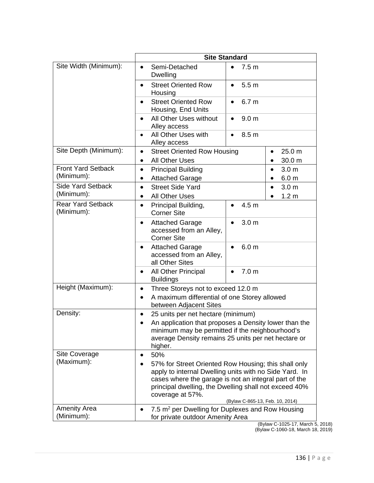|                                         | <b>Site Standard</b>                                                                                                                                                                                                                                                                    |                                                                |  |
|-----------------------------------------|-----------------------------------------------------------------------------------------------------------------------------------------------------------------------------------------------------------------------------------------------------------------------------------------|----------------------------------------------------------------|--|
| Site Width (Minimum):                   | Semi-Detached<br>$\bullet$<br><b>Dwelling</b>                                                                                                                                                                                                                                           | 7.5 <sub>m</sub><br>$\bullet$                                  |  |
|                                         | <b>Street Oriented Row</b><br>Housing                                                                                                                                                                                                                                                   | 5.5 <sub>m</sub><br>$\bullet$                                  |  |
|                                         | <b>Street Oriented Row</b><br>$\bullet$<br>Housing, End Units                                                                                                                                                                                                                           | 6.7 <sub>m</sub><br>$\bullet$                                  |  |
|                                         | All Other Uses without<br>$\bullet$<br>Alley access                                                                                                                                                                                                                                     | 9.0 <sub>m</sub><br>$\bullet$                                  |  |
|                                         | All Other Uses with<br>$\bullet$<br>Alley access                                                                                                                                                                                                                                        | 8.5 <sub>m</sub><br>$\bullet$                                  |  |
| Site Depth (Minimum):                   | $\bullet$<br><b>All Other Uses</b><br>$\bullet$                                                                                                                                                                                                                                         | <b>Street Oriented Row Housing</b><br>25.0 m<br>30.0 m         |  |
| <b>Front Yard Setback</b><br>(Minimum): | <b>Principal Building</b><br>$\bullet$<br><b>Attached Garage</b>                                                                                                                                                                                                                        | 3.0 <sub>m</sub><br>$\bullet$<br>6.0 <sub>m</sub><br>$\bullet$ |  |
| <b>Side Yard Setback</b><br>(Minimum):  | <b>Street Side Yard</b><br>$\bullet$<br><b>All Other Uses</b>                                                                                                                                                                                                                           | 3.0 <sub>m</sub><br>$\bullet$<br>1.2 <sub>m</sub>              |  |
| <b>Rear Yard Setback</b><br>(Minimum):  | Principal Building,<br>$\bullet$<br><b>Corner Site</b>                                                                                                                                                                                                                                  | 4.5 m<br>$\bullet$                                             |  |
|                                         | <b>Attached Garage</b><br>accessed from an Alley,<br><b>Corner Site</b>                                                                                                                                                                                                                 | 3.0 <sub>m</sub><br>$\bullet$                                  |  |
|                                         | <b>Attached Garage</b><br>accessed from an Alley,<br>all Other Sites                                                                                                                                                                                                                    | 6.0 <sub>m</sub>                                               |  |
|                                         | All Other Principal<br><b>Buildings</b>                                                                                                                                                                                                                                                 | 7.0 <sub>m</sub><br>$\bullet$                                  |  |
| Height (Maximum):                       | Three Storeys not to exceed 12.0 m<br>$\bullet$<br>A maximum differential of one Storey allowed<br>between Adjacent Sites                                                                                                                                                               |                                                                |  |
| Density:                                | 25 units per net hectare (minimum)<br>$\bullet$                                                                                                                                                                                                                                         |                                                                |  |
|                                         | An application that proposes a Density lower than the<br>minimum may be permitted if the neighbourhood's<br>average Density remains 25 units per net hectare or<br>higher.                                                                                                              |                                                                |  |
| Site Coverage                           | 50%<br>$\bullet$                                                                                                                                                                                                                                                                        |                                                                |  |
| (Maximum):                              | 57% for Street Oriented Row Housing; this shall only<br>apply to internal Dwelling units with no Side Yard. In<br>cases where the garage is not an integral part of the<br>principal dwelling, the Dwelling shall not exceed 40%<br>coverage at 57%.<br>(Bylaw C-865-13, Feb. 10, 2014) |                                                                |  |
| <b>Amenity Area</b><br>(Minimum):       | 7.5 m <sup>2</sup> per Dwelling for Duplexes and Row Housing<br>for private outdoor Amenity Area                                                                                                                                                                                        |                                                                |  |

(Bylaw C-1025-17, March 5, 2018)

(Bylaw C-1060-18, March 18, 2019)